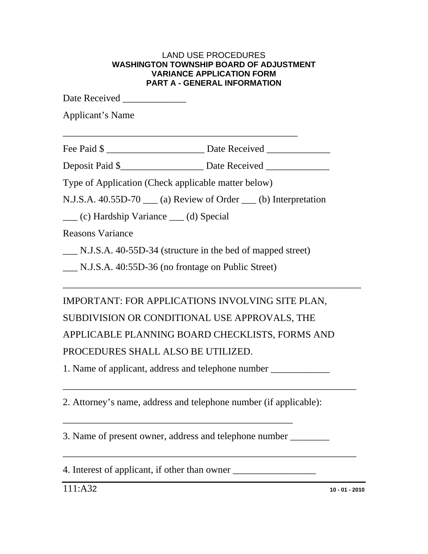| <b>VARIANCE APPLICATION FORM</b><br><b>PART A - GENERAL INFORMATION</b> |                                                                                   |  |
|-------------------------------------------------------------------------|-----------------------------------------------------------------------------------|--|
| Date Received _______________                                           |                                                                                   |  |
| <b>Applicant's Name</b>                                                 |                                                                                   |  |
|                                                                         | Fee Paid \$                                                                       |  |
|                                                                         | Deposit Paid \$____________________________ Date Received _______________________ |  |
| Type of Application (Check applicable matter below)                     |                                                                                   |  |
|                                                                         | N.J.S.A. 40.55D-70 <sub>___</sub> (a) Review of Order ___ (b) Interpretation      |  |
| (c) Hardship Variance (d) Special                                       |                                                                                   |  |
| <b>Reasons Variance</b>                                                 |                                                                                   |  |
|                                                                         | N.J.S.A. 40-55D-34 (structure in the bed of mapped street)                        |  |
| N.J.S.A. 40:55D-36 (no frontage on Public Street)                       |                                                                                   |  |
|                                                                         | IMPORTANT: FOR APPLICATIONS INVOLVING SITE PLAN,                                  |  |
|                                                                         | SUBDIVISION OR CONDITIONAL USE APPROVALS, THE                                     |  |
|                                                                         | APPLICABLE PLANNING BOARD CHECKLISTS, FORMS AND                                   |  |
| PROCEDURES SHALL ALSO BE UTILIZED.                                      |                                                                                   |  |
|                                                                         |                                                                                   |  |

1. Name of applicant, address and telephone number \_\_\_\_\_\_\_\_\_\_\_\_\_\_\_\_\_\_\_\_\_\_\_\_\_\_\_\_\_

2. Attorney's name, address and telephone number (if applicable):

\_\_\_\_\_\_\_\_\_\_\_\_\_\_\_\_\_\_\_\_\_\_\_\_\_\_\_\_\_\_\_\_\_\_\_\_\_\_\_\_\_\_\_\_\_\_\_\_\_\_\_\_\_\_\_\_\_\_\_\_

3. Name of present owner, address and telephone number \_\_\_\_\_\_\_\_

\_\_\_\_\_\_\_\_\_\_\_\_\_\_\_\_\_\_\_\_\_\_\_\_\_\_\_\_\_\_\_\_\_\_\_\_\_\_\_\_\_\_\_\_\_\_\_

4. Interest of applicant, if other than owner \_\_\_\_\_\_\_\_\_\_\_\_\_\_\_\_\_\_\_\_\_\_\_\_\_\_\_\_\_\_\_\_\_\_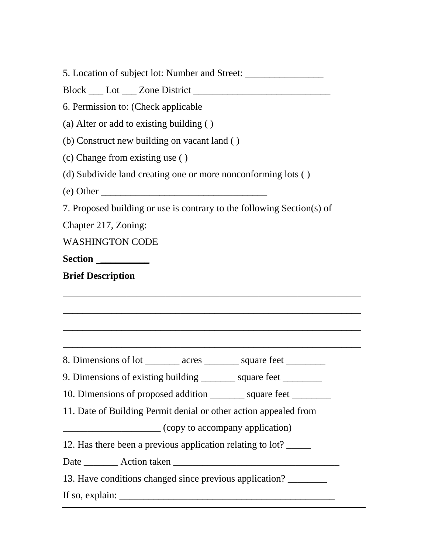|                          | 5. Location of subject lot: Number and Street: _________________________________ |
|--------------------------|----------------------------------------------------------------------------------|
|                          |                                                                                  |
|                          | 6. Permission to: (Check applicable                                              |
|                          | (a) Alter or add to existing building ()                                         |
|                          | (b) Construct new building on vacant land ()                                     |
|                          | (c) Change from existing use ()                                                  |
|                          | (d) Subdivide land creating one or more nonconforming lots ()                    |
|                          | $(e)$ Other                                                                      |
|                          | 7. Proposed building or use is contrary to the following Section(s) of           |
| Chapter 217, Zoning:     |                                                                                  |
| <b>WASHINGTON CODE</b>   |                                                                                  |
| Section                  |                                                                                  |
| <b>Brief Description</b> |                                                                                  |
|                          |                                                                                  |
|                          |                                                                                  |
|                          |                                                                                  |
|                          |                                                                                  |
|                          | 8. Dimensions of lot _________ acres _________ square feet _________             |
|                          | 9. Dimensions of existing building _______ square feet                           |
|                          | 10. Dimensions of proposed addition _________ square feet ________               |
|                          | 11. Date of Building Permit denial or other action appealed from                 |
|                          |                                                                                  |
|                          | 12. Has there been a previous application relating to lot?                       |
|                          |                                                                                  |
|                          | 13. Have conditions changed since previous application?                          |
|                          | If so, explain:                                                                  |
|                          |                                                                                  |